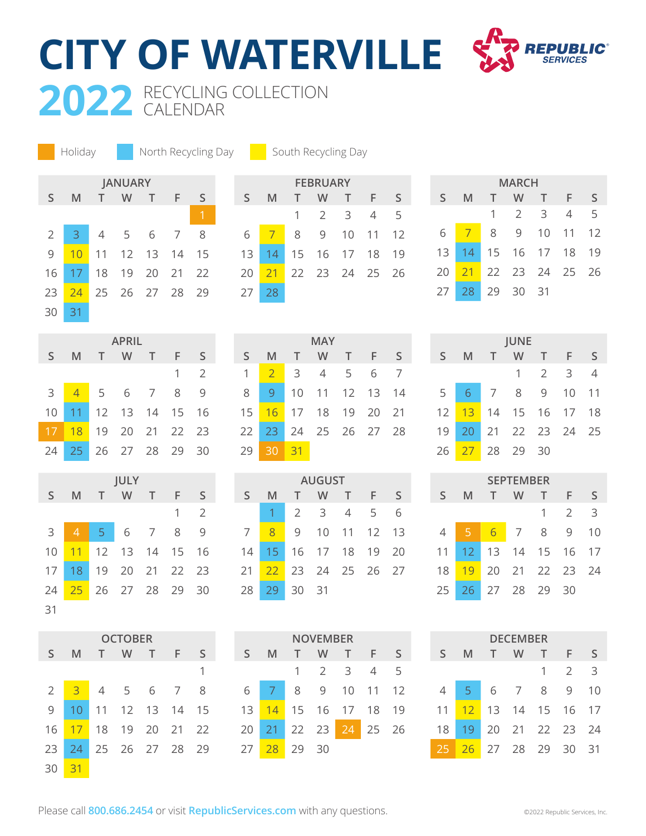2022 RECYCLING COLLECTION **CITY OF WATERVILLE**

CALENDAR



**JANUARY S M T W T F S** 2 3 4 5 6 7 8 10 11 12 13 14 15 17 18 19 20 21 22 23 <mark>24</mark> 25 26 27 28 29 31 Holiday **North Recycling Day Couth Recycling Day** 

| <b>FEBRUARY</b> |    |             |                |                 |    |              |  |  |  |
|-----------------|----|-------------|----------------|-----------------|----|--------------|--|--|--|
| S               | M  | $\mathbb T$ | W              | т               | F  | $\mathsf{S}$ |  |  |  |
|                 |    | 1           | $\overline{2}$ | 3               | 4  | 5            |  |  |  |
| 6               | 7  | 8           | 9              | 10 <sup>1</sup> | 11 | 12           |  |  |  |
| 13              | 14 |             | 15 16 17 18    |                 |    | 19           |  |  |  |
| 20              | 21 |             | 22 23 24 25    |                 |    | 26           |  |  |  |
| 27              | 28 |             |                |                 |    |              |  |  |  |

|              |    |              | <b>MARCH</b> |             |    |              |
|--------------|----|--------------|--------------|-------------|----|--------------|
| $\mathsf{S}$ | M  | $\mathbb{T}$ | W            | T.          | F  | $\mathsf{S}$ |
|              |    | 1.           | 2 3          |             | 4  | 5            |
| 6            | 7  | 8            | 9            | 10          | 11 | 12           |
| 13           | 14 |              |              | 15 16 17 18 |    | 19           |
| 20           | 21 |              |              | 22 23 24 25 |    | 26           |
| 27           | 28 | 29           | 30           | -31         |    |              |

| <b>APRIL</b>  |                |  |  |                   |   |     |  |  |
|---------------|----------------|--|--|-------------------|---|-----|--|--|
| S.            | -M             |  |  | T W T F           |   | S   |  |  |
|               |                |  |  |                   | 1 | - 2 |  |  |
| $\mathcal{E}$ | $\overline{4}$ |  |  | 5 6 7             | 8 | q   |  |  |
| 10            |                |  |  | 11 12 13 14 15 16 |   |     |  |  |
| 17            | -18            |  |  | 19 20 21 22 23    |   |     |  |  |
| 24            | $25 -$         |  |  | 26 27 28 29       |   | 30  |  |  |

| JULY |                 |       |     |                |    |     |  |  |
|------|-----------------|-------|-----|----------------|----|-----|--|--|
| S.   | M               | T     | W   | T              | F  | S   |  |  |
|      |                 |       |     |                | 1  | 2   |  |  |
| 3    | ♦               | $5 -$ | 6 7 |                | 8  |     |  |  |
| 10   | 11              | 12    |     | 13 14          | 15 | -16 |  |  |
| 17   | 18 <sup>°</sup> |       |     | 19 20 21 22 23 |    |     |  |  |
| 24   | 25              |       |     | 26 27 28 29    |    | 30  |  |  |
| 31   |                 |       |     |                |    |     |  |  |

| <b>OCTOBER</b> |                |                |      |          |                 |      |  |  |
|----------------|----------------|----------------|------|----------|-----------------|------|--|--|
| $\mathsf{S}$   | M              | T.             | W    | T.       | F               | S    |  |  |
|                |                |                |      |          |                 | 1    |  |  |
| $\overline{2}$ | $\overline{3}$ | $\overline{4}$ | $-5$ | 6        | -7              | 8    |  |  |
| 9              | 10             | 11             | 12   | 13       | - 14            | 15   |  |  |
| 16             | 17             | 18             | 19   | - 20     | $\overline{21}$ | - 22 |  |  |
| 23             | 24             | 25             |      | 26 27 28 |                 | 29   |  |  |
| 30             | 31             |                |      |          |                 |      |  |  |

|    |      |                 | <b>IVIAY</b>         |     |   |
|----|------|-----------------|----------------------|-----|---|
| S  | - M  |                 | T W T F              |     | S |
| 1  |      |                 | 2 3 4 5              | 6 7 |   |
| 8  |      |                 | 9 10 11 12 13 14     |     |   |
|    |      |                 | 15 16 17 18 19 20 21 |     |   |
|    |      |                 | 22 23 24 25 26 27 28 |     |   |
| 29 | - 30 | $\overline{31}$ |                      |     |   |

**MAY**

|    |    |                | <b>AUGUST</b> |                |    |    |
|----|----|----------------|---------------|----------------|----|----|
| S  | M  | т              | W             | $\top$         | F  | S  |
|    |    | $\overline{2}$ | - 3           | $\overline{4}$ | .5 | 6  |
| 7  | 8  | $\mathsf{Q}$   | 10            | 11             | 12 | 13 |
| 14 | 15 | 16             | 17            | 18             | 19 | 20 |
| 21 | 22 | 23             |               | 24 25 26       |    | 27 |
| 28 | 29 | 30             | -31           |                |    |    |

|              |    |       | NOVEMBER |       |       |    |
|--------------|----|-------|----------|-------|-------|----|
| $\mathsf{S}$ | M  |       | W        | T.    | F     | ς  |
|              |    |       | - 2      | - 3   | 4     | 5  |
| 6            |    | 8     | 9        | 10    | $-11$ | 12 |
| 13           | 14 |       | 15 16    | 17 18 |       | 19 |
| 20           | 21 | 22 23 |          | 24    | 25 26 |    |
| 27           | 28 | 29    | 30       |       |       |    |

| <b>JUNE</b>     |   |                   |    |             |           |              |  |  |
|-----------------|---|-------------------|----|-------------|-----------|--------------|--|--|
| S.              | M | $\top$            | W. | T           | $-$ F $-$ | $\mathsf{S}$ |  |  |
|                 |   |                   |    | $1 \t2 \t3$ |           | 4            |  |  |
| 5               |   | 6 7 8 9           |    |             | 10        | $-11$        |  |  |
| 12 <sup>2</sup> |   | 13 14 15 16 17 18 |    |             |           |              |  |  |
| 19              |   | 20 21 22 23 24 25 |    |             |           |              |  |  |
| 26              |   | 27 28 29          |    | 30          |           |              |  |  |

| <b>SEPTEMBER</b> |    |    |       |    |               |    |  |  |
|------------------|----|----|-------|----|---------------|----|--|--|
| S                | M  | т  | W     | т  | F             | S  |  |  |
|                  |    |    |       | 1  | $\mathcal{P}$ | 3  |  |  |
| 4                | 5  | 6  | 7     | 8  | 9             | 10 |  |  |
| 11               | 12 | 13 | 14    | 15 | 16            | 17 |  |  |
| 18               | 19 | 20 | 21 22 |    | - 23          | 24 |  |  |
| 25               | 26 | 27 | -28   | 29 | 30            |    |  |  |

| DECEMBER     |                 |    |                |     |                |    |  |  |
|--------------|-----------------|----|----------------|-----|----------------|----|--|--|
| $\mathsf{S}$ | M               |    | W              | т   | F              | S  |  |  |
|              |                 |    |                | 1   | $\overline{2}$ | 3  |  |  |
| 4            | $5 -$           | 6  | $\overline{7}$ | 8   | 9              | 10 |  |  |
| 11           | 12 <sup>2</sup> | 13 | 14 15          |     | 16             | 17 |  |  |
| 18           | 19              | 20 | 21 22 23       |     |                | 24 |  |  |
| 25           | 26              |    | 27 28          | -29 | 30             | 31 |  |  |